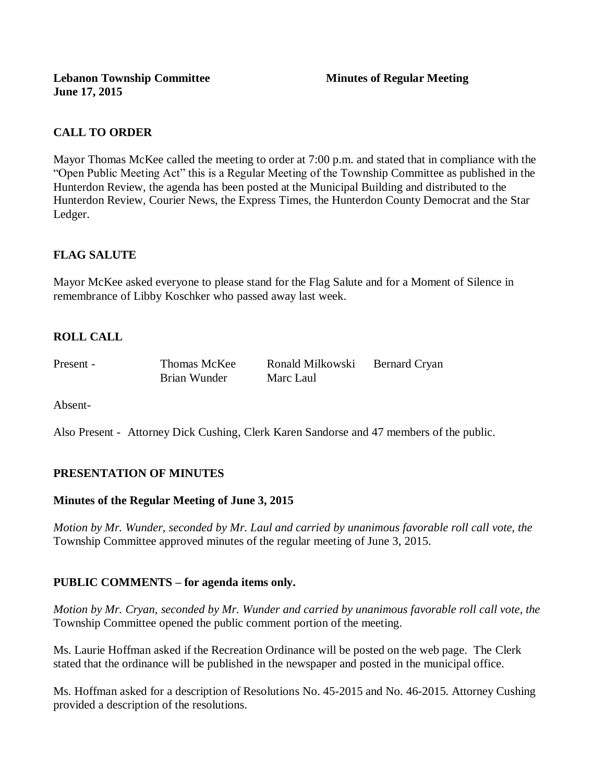**Lebanon Township Committee Minutes of Regular Meeting June 17, 2015**

## **CALL TO ORDER**

Mayor Thomas McKee called the meeting to order at 7:00 p.m. and stated that in compliance with the "Open Public Meeting Act" this is a Regular Meeting of the Township Committee as published in the Hunterdon Review, the agenda has been posted at the Municipal Building and distributed to the Hunterdon Review, Courier News, the Express Times, the Hunterdon County Democrat and the Star Ledger.

## **FLAG SALUTE**

Mayor McKee asked everyone to please stand for the Flag Salute and for a Moment of Silence in remembrance of Libby Koschker who passed away last week.

## **ROLL CALL**

Present - Thomas McKee Ronald Milkowski Bernard Cryan Brian Wunder Marc Laul

Absent-

Also Present - Attorney Dick Cushing, Clerk Karen Sandorse and 47 members of the public.

## **PRESENTATION OF MINUTES**

## **Minutes of the Regular Meeting of June 3, 2015**

*Motion by Mr. Wunder, seconded by Mr. Laul and carried by unanimous favorable roll call vote, the*  Township Committee approved minutes of the regular meeting of June 3, 2015.

## **PUBLIC COMMENTS – for agenda items only.**

*Motion by Mr. Cryan, seconded by Mr. Wunder and carried by unanimous favorable roll call vote, the* Township Committee opened the public comment portion of the meeting.

Ms. Laurie Hoffman asked if the Recreation Ordinance will be posted on the web page. The Clerk stated that the ordinance will be published in the newspaper and posted in the municipal office.

Ms. Hoffman asked for a description of Resolutions No. 45-2015 and No. 46-2015. Attorney Cushing provided a description of the resolutions.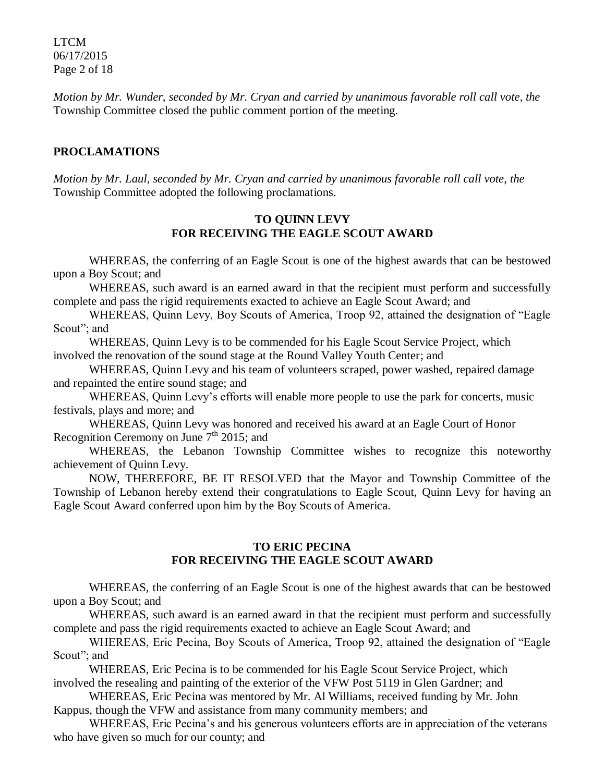LTCM 06/17/2015 Page 2 of 18

*Motion by Mr. Wunder, seconded by Mr. Cryan and carried by unanimous favorable roll call vote, the* Township Committee closed the public comment portion of the meeting.

## **PROCLAMATIONS**

*Motion by Mr. Laul, seconded by Mr. Cryan and carried by unanimous favorable roll call vote, the* Township Committee adopted the following proclamations.

## **TO QUINN LEVY FOR RECEIVING THE EAGLE SCOUT AWARD**

WHEREAS, the conferring of an Eagle Scout is one of the highest awards that can be bestowed upon a Boy Scout; and

WHEREAS, such award is an earned award in that the recipient must perform and successfully complete and pass the rigid requirements exacted to achieve an Eagle Scout Award; and

WHEREAS, Quinn Levy, Boy Scouts of America, Troop 92, attained the designation of "Eagle Scout"; and

WHEREAS, Quinn Levy is to be commended for his Eagle Scout Service Project, which involved the renovation of the sound stage at the Round Valley Youth Center; and

WHEREAS, Quinn Levy and his team of volunteers scraped, power washed, repaired damage and repainted the entire sound stage; and

WHEREAS, Quinn Levy's efforts will enable more people to use the park for concerts, music festivals, plays and more; and

WHEREAS, Quinn Levy was honored and received his award at an Eagle Court of Honor Recognition Ceremony on June  $7<sup>th</sup>$  2015; and

WHEREAS, the Lebanon Township Committee wishes to recognize this noteworthy achievement of Quinn Levy.

NOW, THEREFORE, BE IT RESOLVED that the Mayor and Township Committee of the Township of Lebanon hereby extend their congratulations to Eagle Scout, Quinn Levy for having an Eagle Scout Award conferred upon him by the Boy Scouts of America.

## **TO ERIC PECINA FOR RECEIVING THE EAGLE SCOUT AWARD**

WHEREAS, the conferring of an Eagle Scout is one of the highest awards that can be bestowed upon a Boy Scout; and

WHEREAS, such award is an earned award in that the recipient must perform and successfully complete and pass the rigid requirements exacted to achieve an Eagle Scout Award; and

WHEREAS, Eric Pecina, Boy Scouts of America, Troop 92, attained the designation of "Eagle Scout"; and

WHEREAS, Eric Pecina is to be commended for his Eagle Scout Service Project, which involved the resealing and painting of the exterior of the VFW Post 5119 in Glen Gardner; and

WHEREAS, Eric Pecina was mentored by Mr. Al Williams, received funding by Mr. John Kappus, though the VFW and assistance from many community members; and

WHEREAS, Eric Pecina's and his generous volunteers efforts are in appreciation of the veterans who have given so much for our county; and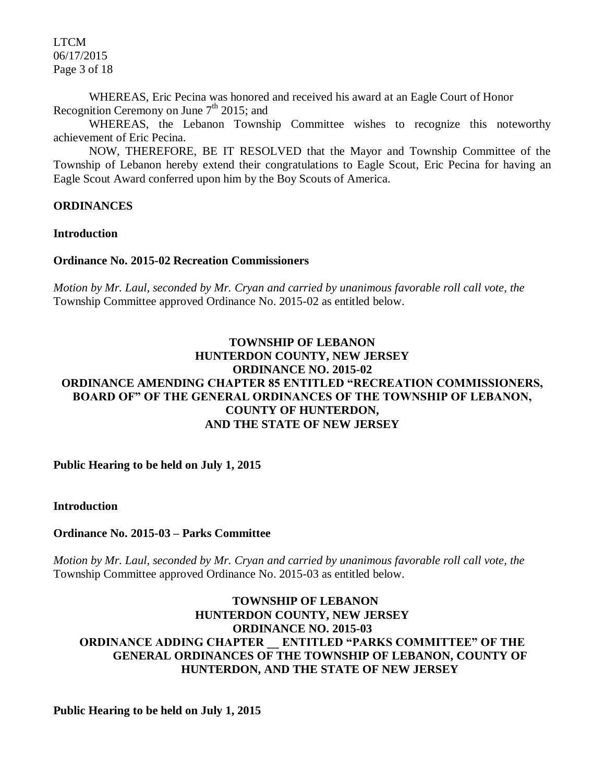LTCM 06/17/2015 Page 3 of 18

WHEREAS, Eric Pecina was honored and received his award at an Eagle Court of Honor Recognition Ceremony on June  $7<sup>th</sup>$  2015; and

WHEREAS, the Lebanon Township Committee wishes to recognize this noteworthy achievement of Eric Pecina.

NOW, THEREFORE, BE IT RESOLVED that the Mayor and Township Committee of the Township of Lebanon hereby extend their congratulations to Eagle Scout, Eric Pecina for having an Eagle Scout Award conferred upon him by the Boy Scouts of America.

## **ORDINANCES**

**Introduction**

## **Ordinance No. 2015-02 Recreation Commissioners**

*Motion by Mr. Laul, seconded by Mr. Cryan and carried by unanimous favorable roll call vote, the* Township Committee approved Ordinance No. 2015-02 as entitled below.

## **TOWNSHIP OF LEBANON HUNTERDON COUNTY, NEW JERSEY ORDINANCE NO. 2015-02 ORDINANCE AMENDING CHAPTER 85 ENTITLED "RECREATION COMMISSIONERS, BOARD OF" OF THE GENERAL ORDINANCES OF THE TOWNSHIP OF LEBANON, COUNTY OF HUNTERDON, AND THE STATE OF NEW JERSEY**

**Public Hearing to be held on July 1, 2015**

**Introduction** 

**Ordinance No. 2015-03** *–* **Parks Committee**

*Motion by Mr. Laul, seconded by Mr. Cryan and carried by unanimous favorable roll call vote, the* Township Committee approved Ordinance No. 2015-03 as entitled below.

## **TOWNSHIP OF LEBANON HUNTERDON COUNTY, NEW JERSEY ORDINANCE NO. 2015-03 ORDINANCE ADDING CHAPTER \_\_ ENTITLED "PARKS COMMITTEE" OF THE GENERAL ORDINANCES OF THE TOWNSHIP OF LEBANON, COUNTY OF HUNTERDON, AND THE STATE OF NEW JERSEY**

**Public Hearing to be held on July 1, 2015**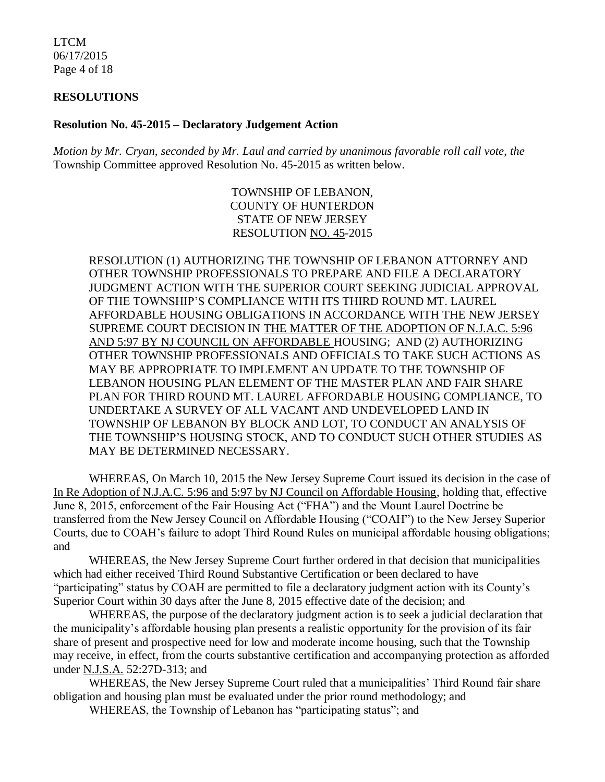LTCM 06/17/2015 Page 4 of 18

#### **RESOLUTIONS**

#### **Resolution No. 45-2015 – Declaratory Judgement Action**

*Motion by Mr. Cryan, seconded by Mr. Laul and carried by unanimous favorable roll call vote*, *the* Township Committee approved Resolution No. 45-2015 as written below.

> TOWNSHIP OF LEBANON, COUNTY OF HUNTERDON STATE OF NEW JERSEY RESOLUTION NO. 45-2015

RESOLUTION (1) AUTHORIZING THE TOWNSHIP OF LEBANON ATTORNEY AND OTHER TOWNSHIP PROFESSIONALS TO PREPARE AND FILE A DECLARATORY JUDGMENT ACTION WITH THE SUPERIOR COURT SEEKING JUDICIAL APPROVAL OF THE TOWNSHIP'S COMPLIANCE WITH ITS THIRD ROUND MT. LAUREL AFFORDABLE HOUSING OBLIGATIONS IN ACCORDANCE WITH THE NEW JERSEY SUPREME COURT DECISION IN THE MATTER OF THE ADOPTION OF N.J.A.C. 5:96 AND 5:97 BY NJ COUNCIL ON AFFORDABLE HOUSING; AND (2) AUTHORIZING OTHER TOWNSHIP PROFESSIONALS AND OFFICIALS TO TAKE SUCH ACTIONS AS MAY BE APPROPRIATE TO IMPLEMENT AN UPDATE TO THE TOWNSHIP OF LEBANON HOUSING PLAN ELEMENT OF THE MASTER PLAN AND FAIR SHARE PLAN FOR THIRD ROUND MT. LAUREL AFFORDABLE HOUSING COMPLIANCE, TO UNDERTAKE A SURVEY OF ALL VACANT AND UNDEVELOPED LAND IN TOWNSHIP OF LEBANON BY BLOCK AND LOT, TO CONDUCT AN ANALYSIS OF THE TOWNSHIP'S HOUSING STOCK, AND TO CONDUCT SUCH OTHER STUDIES AS MAY BE DETERMINED NECESSARY.

WHEREAS, On March 10, 2015 the New Jersey Supreme Court issued its decision in the case of In Re Adoption of N.J.A.C. 5:96 and 5:97 by NJ Council on Affordable Housing, holding that, effective June 8, 2015, enforcement of the Fair Housing Act ("FHA") and the Mount Laurel Doctrine be transferred from the New Jersey Council on Affordable Housing ("COAH") to the New Jersey Superior Courts, due to COAH's failure to adopt Third Round Rules on municipal affordable housing obligations; and

WHEREAS, the New Jersey Supreme Court further ordered in that decision that municipalities which had either received Third Round Substantive Certification or been declared to have "participating" status by COAH are permitted to file a declaratory judgment action with its County's Superior Court within 30 days after the June 8, 2015 effective date of the decision; and

WHEREAS, the purpose of the declaratory judgment action is to seek a judicial declaration that the municipality's affordable housing plan presents a realistic opportunity for the provision of its fair share of present and prospective need for low and moderate income housing, such that the Township may receive, in effect, from the courts substantive certification and accompanying protection as afforded under N.J.S.A. 52:27D-313; and

WHEREAS, the New Jersey Supreme Court ruled that a municipalities' Third Round fair share obligation and housing plan must be evaluated under the prior round methodology; and

WHEREAS, the Township of Lebanon has "participating status"; and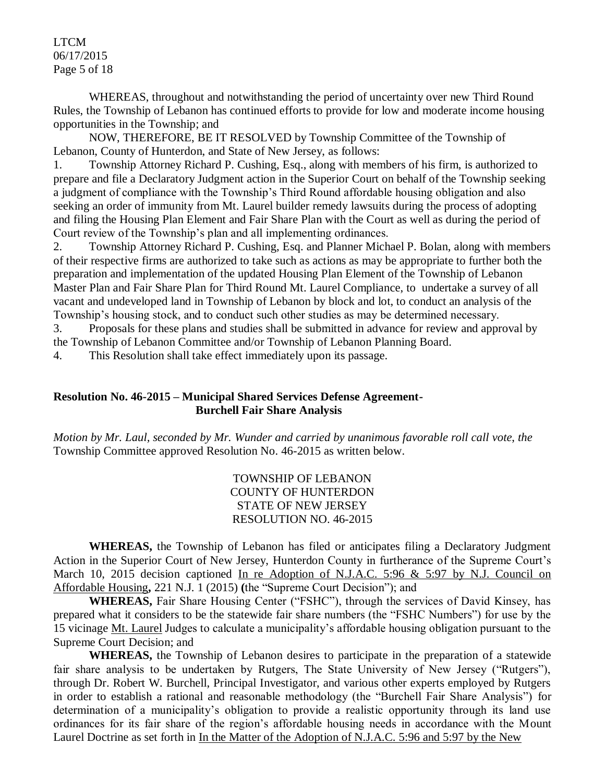LTCM 06/17/2015 Page 5 of 18

WHEREAS, throughout and notwithstanding the period of uncertainty over new Third Round Rules, the Township of Lebanon has continued efforts to provide for low and moderate income housing opportunities in the Township; and

NOW, THEREFORE, BE IT RESOLVED by Township Committee of the Township of Lebanon, County of Hunterdon, and State of New Jersey, as follows:

1. Township Attorney Richard P. Cushing, Esq., along with members of his firm, is authorized to prepare and file a Declaratory Judgment action in the Superior Court on behalf of the Township seeking a judgment of compliance with the Township's Third Round affordable housing obligation and also seeking an order of immunity from Mt. Laurel builder remedy lawsuits during the process of adopting and filing the Housing Plan Element and Fair Share Plan with the Court as well as during the period of Court review of the Township's plan and all implementing ordinances.

2. Township Attorney Richard P. Cushing, Esq. and Planner Michael P. Bolan, along with members of their respective firms are authorized to take such as actions as may be appropriate to further both the preparation and implementation of the updated Housing Plan Element of the Township of Lebanon Master Plan and Fair Share Plan for Third Round Mt. Laurel Compliance, to undertake a survey of all vacant and undeveloped land in Township of Lebanon by block and lot, to conduct an analysis of the Township's housing stock, and to conduct such other studies as may be determined necessary.

3. Proposals for these plans and studies shall be submitted in advance for review and approval by the Township of Lebanon Committee and/or Township of Lebanon Planning Board.

4. This Resolution shall take effect immediately upon its passage.

## **Resolution No. 46-2015 – Municipal Shared Services Defense Agreement-Burchell Fair Share Analysis**

*Motion by Mr. Laul, seconded by Mr. Wunder and carried by unanimous favorable roll call vote*, *the* Township Committee approved Resolution No. 46-2015 as written below.

> TOWNSHIP OF LEBANON COUNTY OF HUNTERDON STATE OF NEW JERSEY RESOLUTION NO. 46-2015

**WHEREAS,** the Township of Lebanon has filed or anticipates filing a Declaratory Judgment Action in the Superior Court of New Jersey, Hunterdon County in furtherance of the Supreme Court's March 10, 2015 decision captioned In re Adoption of N.J.A.C. 5:96 & 5:97 by N.J. Council on Affordable Housing**,** 221 N.J. 1 (2015) **(**the "Supreme Court Decision"); and

**WHEREAS,** Fair Share Housing Center ("FSHC"), through the services of David Kinsey, has prepared what it considers to be the statewide fair share numbers (the "FSHC Numbers") for use by the 15 vicinage Mt. Laurel Judges to calculate a municipality's affordable housing obligation pursuant to the Supreme Court Decision; and

**WHEREAS,** the Township of Lebanon desires to participate in the preparation of a statewide fair share analysis to be undertaken by Rutgers, The State University of New Jersey ("Rutgers"), through Dr. Robert W. Burchell, Principal Investigator, and various other experts employed by Rutgers in order to establish a rational and reasonable methodology (the "Burchell Fair Share Analysis") for determination of a municipality's obligation to provide a realistic opportunity through its land use ordinances for its fair share of the region's affordable housing needs in accordance with the Mount Laurel Doctrine as set forth in In the Matter of the Adoption of N.J.A.C. 5:96 and 5:97 by the New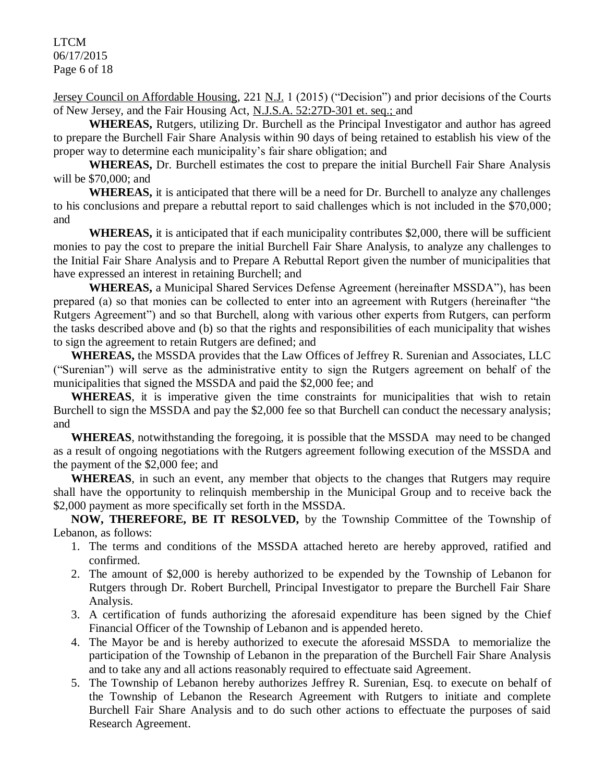LTCM 06/17/2015 Page 6 of 18

Jersey Council on Affordable Housing, 221 N.J. 1 (2015) ("Decision") and prior decisions of the Courts of New Jersey, and the Fair Housing Act, N.J.S.A. 52:27D-301 et. seq.; and

**WHEREAS,** Rutgers, utilizing Dr. Burchell as the Principal Investigator and author has agreed to prepare the Burchell Fair Share Analysis within 90 days of being retained to establish his view of the proper way to determine each municipality's fair share obligation; and

**WHEREAS,** Dr. Burchell estimates the cost to prepare the initial Burchell Fair Share Analysis will be \$70,000; and

**WHEREAS,** it is anticipated that there will be a need for Dr. Burchell to analyze any challenges to his conclusions and prepare a rebuttal report to said challenges which is not included in the \$70,000; and

**WHEREAS,** it is anticipated that if each municipality contributes \$2,000, there will be sufficient monies to pay the cost to prepare the initial Burchell Fair Share Analysis, to analyze any challenges to the Initial Fair Share Analysis and to Prepare A Rebuttal Report given the number of municipalities that have expressed an interest in retaining Burchell; and

**WHEREAS,** a Municipal Shared Services Defense Agreement (hereinafter MSSDA"), has been prepared (a) so that monies can be collected to enter into an agreement with Rutgers (hereinafter "the Rutgers Agreement") and so that Burchell, along with various other experts from Rutgers, can perform the tasks described above and (b) so that the rights and responsibilities of each municipality that wishes to sign the agreement to retain Rutgers are defined; and

**WHEREAS,** the MSSDA provides that the Law Offices of Jeffrey R. Surenian and Associates, LLC ("Surenian") will serve as the administrative entity to sign the Rutgers agreement on behalf of the municipalities that signed the MSSDA and paid the \$2,000 fee; and

**WHEREAS**, it is imperative given the time constraints for municipalities that wish to retain Burchell to sign the MSSDA and pay the \$2,000 fee so that Burchell can conduct the necessary analysis; and

**WHEREAS**, notwithstanding the foregoing, it is possible that the MSSDA may need to be changed as a result of ongoing negotiations with the Rutgers agreement following execution of the MSSDA and the payment of the \$2,000 fee; and

**WHEREAS**, in such an event, any member that objects to the changes that Rutgers may require shall have the opportunity to relinquish membership in the Municipal Group and to receive back the \$2,000 payment as more specifically set forth in the MSSDA.

**NOW, THEREFORE, BE IT RESOLVED,** by the Township Committee of the Township of Lebanon, as follows:

- 1. The terms and conditions of the MSSDA attached hereto are hereby approved, ratified and confirmed.
- 2. The amount of \$2,000 is hereby authorized to be expended by the Township of Lebanon for Rutgers through Dr. Robert Burchell, Principal Investigator to prepare the Burchell Fair Share Analysis.
- 3. A certification of funds authorizing the aforesaid expenditure has been signed by the Chief Financial Officer of the Township of Lebanon and is appended hereto.
- 4. The Mayor be and is hereby authorized to execute the aforesaid MSSDA to memorialize the participation of the Township of Lebanon in the preparation of the Burchell Fair Share Analysis and to take any and all actions reasonably required to effectuate said Agreement.
- 5. The Township of Lebanon hereby authorizes Jeffrey R. Surenian, Esq. to execute on behalf of the Township of Lebanon the Research Agreement with Rutgers to initiate and complete Burchell Fair Share Analysis and to do such other actions to effectuate the purposes of said Research Agreement.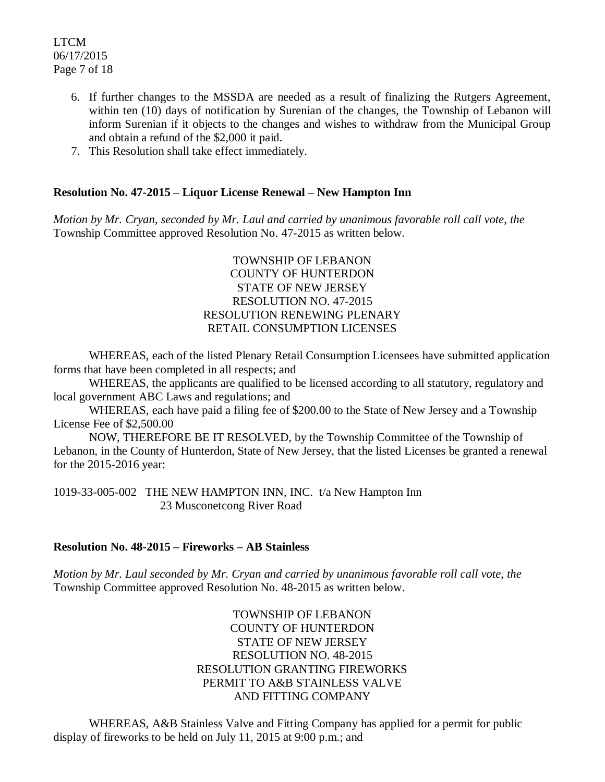LTCM 06/17/2015 Page 7 of 18

- 6. If further changes to the MSSDA are needed as a result of finalizing the Rutgers Agreement, within ten (10) days of notification by Surenian of the changes, the Township of Lebanon will inform Surenian if it objects to the changes and wishes to withdraw from the Municipal Group and obtain a refund of the \$2,000 it paid.
- 7. This Resolution shall take effect immediately.

## **Resolution No. 47-2015 – Liquor License Renewal – New Hampton Inn**

*Motion by Mr. Cryan, seconded by Mr. Laul and carried by unanimous favorable roll call vote*, *the* Township Committee approved Resolution No. 47-2015 as written below.

## TOWNSHIP OF LEBANON COUNTY OF HUNTERDON STATE OF NEW JERSEY RESOLUTION NO. 47-2015 RESOLUTION RENEWING PLENARY RETAIL CONSUMPTION LICENSES

WHEREAS, each of the listed Plenary Retail Consumption Licensees have submitted application forms that have been completed in all respects; and

WHEREAS, the applicants are qualified to be licensed according to all statutory, regulatory and local government ABC Laws and regulations; and

WHEREAS, each have paid a filing fee of \$200.00 to the State of New Jersey and a Township License Fee of \$2,500.00

NOW, THEREFORE BE IT RESOLVED, by the Township Committee of the Township of Lebanon, in the County of Hunterdon, State of New Jersey, that the listed Licenses be granted a renewal for the 2015-2016 year:

1019-33-005-002 THE NEW HAMPTON INN, INC. t/a New Hampton Inn 23 Musconetcong River Road

## **Resolution No. 48-2015 – Fireworks – AB Stainless**

*Motion by Mr. Laul seconded by Mr. Cryan and carried by unanimous favorable roll call vote*, *the* Township Committee approved Resolution No. 48-2015 as written below.

> TOWNSHIP OF LEBANON COUNTY OF HUNTERDON STATE OF NEW JERSEY RESOLUTION NO. 48-2015 RESOLUTION GRANTING FIREWORKS PERMIT TO A&B STAINLESS VALVE AND FITTING COMPANY

WHEREAS, A&B Stainless Valve and Fitting Company has applied for a permit for public display of fireworks to be held on July 11, 2015 at 9:00 p.m.; and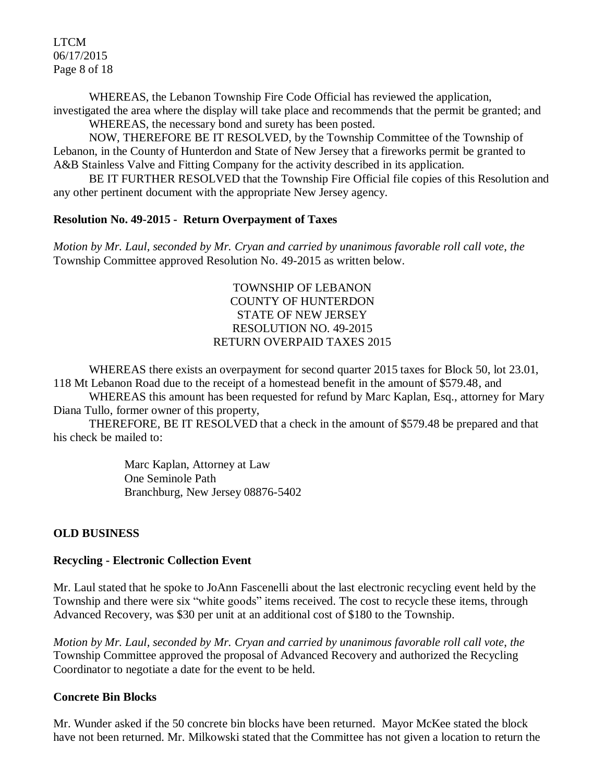LTCM 06/17/2015 Page 8 of 18

WHEREAS, the Lebanon Township Fire Code Official has reviewed the application, investigated the area where the display will take place and recommends that the permit be granted; and

WHEREAS, the necessary bond and surety has been posted.

NOW, THEREFORE BE IT RESOLVED, by the Township Committee of the Township of Lebanon, in the County of Hunterdon and State of New Jersey that a fireworks permit be granted to A&B Stainless Valve and Fitting Company for the activity described in its application.

BE IT FURTHER RESOLVED that the Township Fire Official file copies of this Resolution and any other pertinent document with the appropriate New Jersey agency.

## **Resolution No. 49-2015 - Return Overpayment of Taxes**

*Motion by Mr. Laul, seconded by Mr. Cryan and carried by unanimous favorable roll call vote*, *the* Township Committee approved Resolution No. 49-2015 as written below.

## TOWNSHIP OF LEBANON COUNTY OF HUNTERDON STATE OF NEW JERSEY RESOLUTION NO. 49-2015 RETURN OVERPAID TAXES 2015

WHEREAS there exists an overpayment for second quarter 2015 taxes for Block 50, lot 23.01, 118 Mt Lebanon Road due to the receipt of a homestead benefit in the amount of \$579.48, and

WHEREAS this amount has been requested for refund by Marc Kaplan, Esq., attorney for Mary Diana Tullo, former owner of this property,

THEREFORE, BE IT RESOLVED that a check in the amount of \$579.48 be prepared and that his check be mailed to:

> Marc Kaplan, Attorney at Law One Seminole Path Branchburg, New Jersey 08876-5402

## **OLD BUSINESS**

## **Recycling - Electronic Collection Event**

Mr. Laul stated that he spoke to JoAnn Fascenelli about the last electronic recycling event held by the Township and there were six "white goods" items received. The cost to recycle these items, through Advanced Recovery, was \$30 per unit at an additional cost of \$180 to the Township.

*Motion by Mr. Laul, seconded by Mr. Cryan and carried by unanimous favorable roll call vote*, *the* Township Committee approved the proposal of Advanced Recovery and authorized the Recycling Coordinator to negotiate a date for the event to be held.

## **Concrete Bin Blocks**

Mr. Wunder asked if the 50 concrete bin blocks have been returned. Mayor McKee stated the block have not been returned. Mr. Milkowski stated that the Committee has not given a location to return the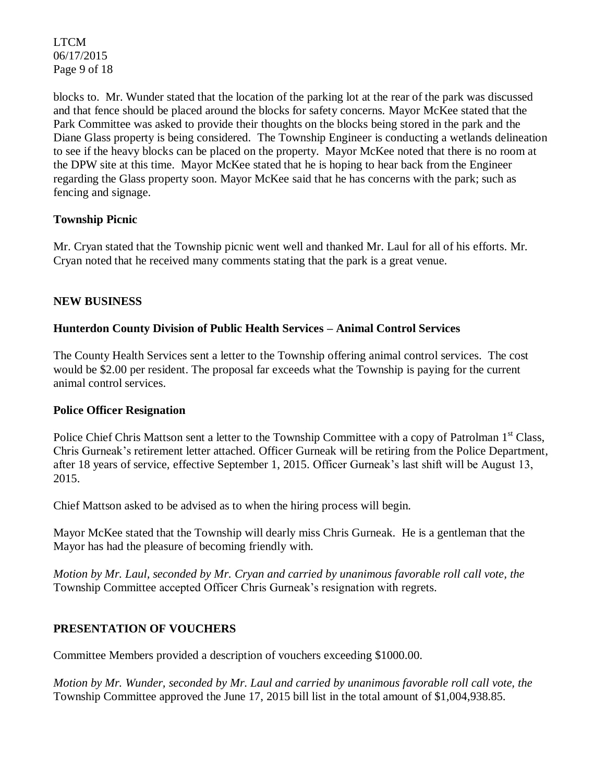LTCM 06/17/2015 Page 9 of 18

blocks to. Mr. Wunder stated that the location of the parking lot at the rear of the park was discussed and that fence should be placed around the blocks for safety concerns. Mayor McKee stated that the Park Committee was asked to provide their thoughts on the blocks being stored in the park and the Diane Glass property is being considered. The Township Engineer is conducting a wetlands delineation to see if the heavy blocks can be placed on the property. Mayor McKee noted that there is no room at the DPW site at this time. Mayor McKee stated that he is hoping to hear back from the Engineer regarding the Glass property soon. Mayor McKee said that he has concerns with the park; such as fencing and signage.

## **Township Picnic**

Mr. Cryan stated that the Township picnic went well and thanked Mr. Laul for all of his efforts. Mr. Cryan noted that he received many comments stating that the park is a great venue.

## **NEW BUSINESS**

## **Hunterdon County Division of Public Health Services – Animal Control Services**

The County Health Services sent a letter to the Township offering animal control services. The cost would be \$2.00 per resident. The proposal far exceeds what the Township is paying for the current animal control services.

## **Police Officer Resignation**

Police Chief Chris Mattson sent a letter to the Township Committee with a copy of Patrolman 1<sup>st</sup> Class, Chris Gurneak's retirement letter attached. Officer Gurneak will be retiring from the Police Department, after 18 years of service, effective September 1, 2015. Officer Gurneak's last shift will be August 13, 2015.

Chief Mattson asked to be advised as to when the hiring process will begin.

Mayor McKee stated that the Township will dearly miss Chris Gurneak. He is a gentleman that the Mayor has had the pleasure of becoming friendly with.

*Motion by Mr. Laul, seconded by Mr. Cryan and carried by unanimous favorable roll call vote, the* Township Committee accepted Officer Chris Gurneak's resignation with regrets.

## **PRESENTATION OF VOUCHERS**

Committee Members provided a description of vouchers exceeding \$1000.00.

*Motion by Mr. Wunder, seconded by Mr. Laul and carried by unanimous favorable roll call vote, the* Township Committee approved the June 17, 2015 bill list in the total amount of \$1,004,938.85.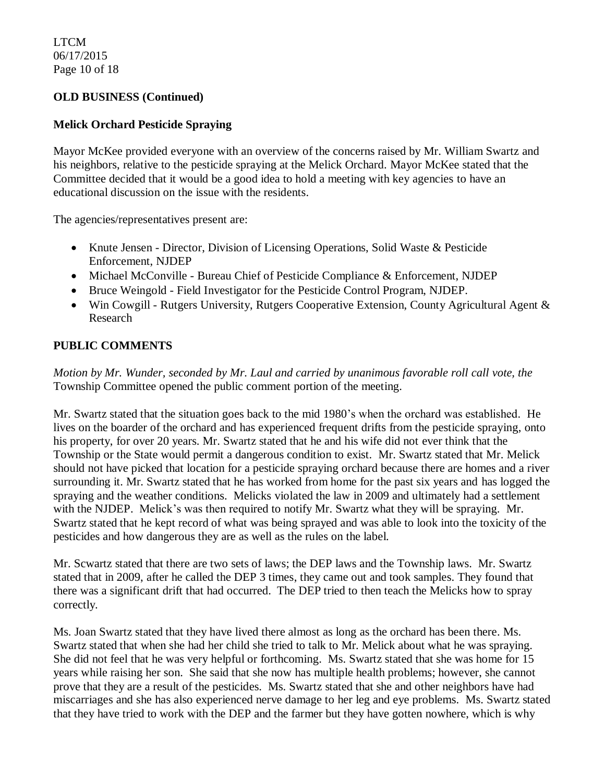LTCM 06/17/2015 Page 10 of 18

## **OLD BUSINESS (Continued)**

## **Melick Orchard Pesticide Spraying**

Mayor McKee provided everyone with an overview of the concerns raised by Mr. William Swartz and his neighbors, relative to the pesticide spraying at the Melick Orchard. Mayor McKee stated that the Committee decided that it would be a good idea to hold a meeting with key agencies to have an educational discussion on the issue with the residents.

The agencies/representatives present are:

- Knute Jensen Director, Division of Licensing Operations, Solid Waste & Pesticide Enforcement, NJDEP
- Michael McConville Bureau Chief of Pesticide Compliance & Enforcement, NJDEP
- Bruce Weingold Field Investigator for the Pesticide Control Program, NJDEP.
- Win Cowgill Rutgers University, Rutgers Cooperative Extension, County Agricultural Agent & Research

## **PUBLIC COMMENTS**

*Motion by Mr. Wunder, seconded by Mr. Laul and carried by unanimous favorable roll call vote, the* Township Committee opened the public comment portion of the meeting.

Mr. Swartz stated that the situation goes back to the mid 1980's when the orchard was established. He lives on the boarder of the orchard and has experienced frequent drifts from the pesticide spraying, onto his property, for over 20 years. Mr. Swartz stated that he and his wife did not ever think that the Township or the State would permit a dangerous condition to exist. Mr. Swartz stated that Mr. Melick should not have picked that location for a pesticide spraying orchard because there are homes and a river surrounding it. Mr. Swartz stated that he has worked from home for the past six years and has logged the spraying and the weather conditions. Melicks violated the law in 2009 and ultimately had a settlement with the NJDEP. Melick's was then required to notify Mr. Swartz what they will be spraying. Mr. Swartz stated that he kept record of what was being sprayed and was able to look into the toxicity of the pesticides and how dangerous they are as well as the rules on the label.

Mr. Scwartz stated that there are two sets of laws; the DEP laws and the Township laws. Mr. Swartz stated that in 2009, after he called the DEP 3 times, they came out and took samples. They found that there was a significant drift that had occurred. The DEP tried to then teach the Melicks how to spray correctly.

Ms. Joan Swartz stated that they have lived there almost as long as the orchard has been there. Ms. Swartz stated that when she had her child she tried to talk to Mr. Melick about what he was spraying. She did not feel that he was very helpful or forthcoming. Ms. Swartz stated that she was home for 15 years while raising her son. She said that she now has multiple health problems; however, she cannot prove that they are a result of the pesticides. Ms. Swartz stated that she and other neighbors have had miscarriages and she has also experienced nerve damage to her leg and eye problems. Ms. Swartz stated that they have tried to work with the DEP and the farmer but they have gotten nowhere, which is why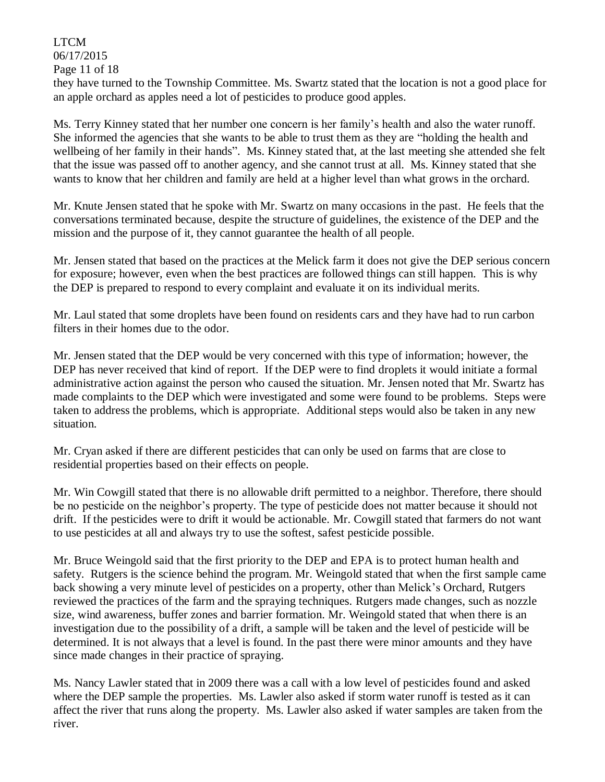# LTCM

06/17/2015

Page 11 of 18

they have turned to the Township Committee. Ms. Swartz stated that the location is not a good place for an apple orchard as apples need a lot of pesticides to produce good apples.

Ms. Terry Kinney stated that her number one concern is her family's health and also the water runoff. She informed the agencies that she wants to be able to trust them as they are "holding the health and wellbeing of her family in their hands". Ms. Kinney stated that, at the last meeting she attended she felt that the issue was passed off to another agency, and she cannot trust at all. Ms. Kinney stated that she wants to know that her children and family are held at a higher level than what grows in the orchard.

Mr. Knute Jensen stated that he spoke with Mr. Swartz on many occasions in the past. He feels that the conversations terminated because, despite the structure of guidelines, the existence of the DEP and the mission and the purpose of it, they cannot guarantee the health of all people.

Mr. Jensen stated that based on the practices at the Melick farm it does not give the DEP serious concern for exposure; however, even when the best practices are followed things can still happen. This is why the DEP is prepared to respond to every complaint and evaluate it on its individual merits.

Mr. Laul stated that some droplets have been found on residents cars and they have had to run carbon filters in their homes due to the odor.

Mr. Jensen stated that the DEP would be very concerned with this type of information; however, the DEP has never received that kind of report. If the DEP were to find droplets it would initiate a formal administrative action against the person who caused the situation. Mr. Jensen noted that Mr. Swartz has made complaints to the DEP which were investigated and some were found to be problems. Steps were taken to address the problems, which is appropriate. Additional steps would also be taken in any new situation.

Mr. Cryan asked if there are different pesticides that can only be used on farms that are close to residential properties based on their effects on people.

Mr. Win Cowgill stated that there is no allowable drift permitted to a neighbor. Therefore, there should be no pesticide on the neighbor's property. The type of pesticide does not matter because it should not drift. If the pesticides were to drift it would be actionable. Mr. Cowgill stated that farmers do not want to use pesticides at all and always try to use the softest, safest pesticide possible.

Mr. Bruce Weingold said that the first priority to the DEP and EPA is to protect human health and safety. Rutgers is the science behind the program. Mr. Weingold stated that when the first sample came back showing a very minute level of pesticides on a property, other than Melick's Orchard, Rutgers reviewed the practices of the farm and the spraying techniques. Rutgers made changes, such as nozzle size, wind awareness, buffer zones and barrier formation. Mr. Weingold stated that when there is an investigation due to the possibility of a drift, a sample will be taken and the level of pesticide will be determined. It is not always that a level is found. In the past there were minor amounts and they have since made changes in their practice of spraying.

Ms. Nancy Lawler stated that in 2009 there was a call with a low level of pesticides found and asked where the DEP sample the properties. Ms. Lawler also asked if storm water runoff is tested as it can affect the river that runs along the property. Ms. Lawler also asked if water samples are taken from the river.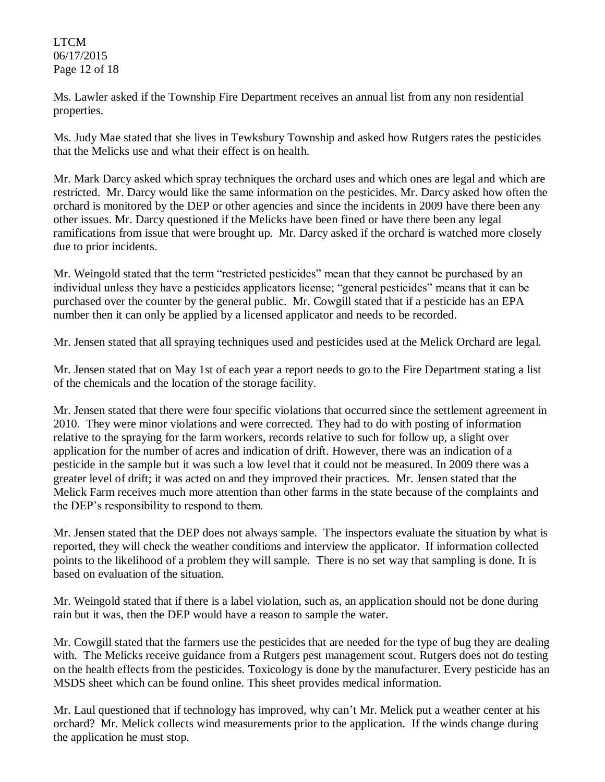## LTCM 06/17/2015 Page 12 of 18

Ms. Lawler asked if the Township Fire Department receives an annual list from any non residential properties.

Ms. Judy Mae stated that she lives in Tewksbury Township and asked how Rutgers rates the pesticides that the Melicks use and what their effect is on health.

Mr. Mark Darcy asked which spray techniques the orchard uses and which ones are legal and which are restricted. Mr. Darcy would like the same information on the pesticides. Mr. Darcy asked how often the orchard is monitored by the DEP or other agencies and since the incidents in 2009 have there been any other issues. Mr. Darcy questioned if the Melicks have been fined or have there been any legal ramifications from issue that were brought up. Mr. Darcy asked if the orchard is watched more closely due to prior incidents.

Mr. Weingold stated that the term "restricted pesticides" mean that they cannot be purchased by an individual unless they have a pesticides applicators license; "general pesticides" means that it can be purchased over the counter by the general public. Mr. Cowgill stated that if a pesticide has an EPA number then it can only be applied by a licensed applicator and needs to be recorded.

Mr. Jensen stated that all spraying techniques used and pesticides used at the Melick Orchard are legal.

Mr. Jensen stated that on May 1st of each year a report needs to go to the Fire Department stating a list of the chemicals and the location of the storage facility.

Mr. Jensen stated that there were four specific violations that occurred since the settlement agreement in 2010. They were minor violations and were corrected. They had to do with posting of information relative to the spraying for the farm workers, records relative to such for follow up, a slight over application for the number of acres and indication of drift. However, there was an indication of a pesticide in the sample but it was such a low level that it could not be measured. In 2009 there was a greater level of drift; it was acted on and they improved their practices. Mr. Jensen stated that the Melick Farm receives much more attention than other farms in the state because of the complaints and the DEP's responsibility to respond to them.

Mr. Jensen stated that the DEP does not always sample. The inspectors evaluate the situation by what is reported, they will check the weather conditions and interview the applicator. If information collected points to the likelihood of a problem they will sample. There is no set way that sampling is done. It is based on evaluation of the situation.

Mr. Weingold stated that if there is a label violation, such as, an application should not be done during rain but it was, then the DEP would have a reason to sample the water.

Mr. Cowgill stated that the farmers use the pesticides that are needed for the type of bug they are dealing with. The Melicks receive guidance from a Rutgers pest management scout. Rutgers does not do testing on the health effects from the pesticides. Toxicology is done by the manufacturer. Every pesticide has an MSDS sheet which can be found online. This sheet provides medical information.

Mr. Laul questioned that if technology has improved, why can't Mr. Melick put a weather center at his orchard? Mr. Melick collects wind measurements prior to the application. If the winds change during the application he must stop.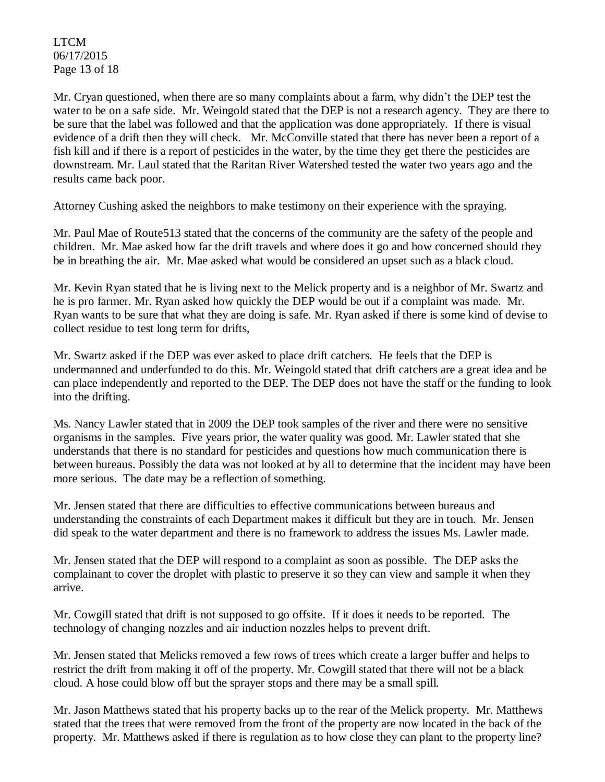LTCM 06/17/2015 Page 13 of 18

Mr. Cryan questioned, when there are so many complaints about a farm, why didn't the DEP test the water to be on a safe side. Mr. Weingold stated that the DEP is not a research agency. They are there to be sure that the label was followed and that the application was done appropriately. If there is visual evidence of a drift then they will check. Mr. McConville stated that there has never been a report of a fish kill and if there is a report of pesticides in the water, by the time they get there the pesticides are downstream. Mr. Laul stated that the Raritan River Watershed tested the water two years ago and the results came back poor.

Attorney Cushing asked the neighbors to make testimony on their experience with the spraying.

Mr. Paul Mae of Route513 stated that the concerns of the community are the safety of the people and children. Mr. Mae asked how far the drift travels and where does it go and how concerned should they be in breathing the air. Mr. Mae asked what would be considered an upset such as a black cloud.

Mr. Kevin Ryan stated that he is living next to the Melick property and is a neighbor of Mr. Swartz and he is pro farmer. Mr. Ryan asked how quickly the DEP would be out if a complaint was made. Mr. Ryan wants to be sure that what they are doing is safe. Mr. Ryan asked if there is some kind of devise to collect residue to test long term for drifts,

Mr. Swartz asked if the DEP was ever asked to place drift catchers. He feels that the DEP is undermanned and underfunded to do this. Mr. Weingold stated that drift catchers are a great idea and be can place independently and reported to the DEP. The DEP does not have the staff or the funding to look into the drifting.

Ms. Nancy Lawler stated that in 2009 the DEP took samples of the river and there were no sensitive organisms in the samples. Five years prior, the water quality was good. Mr. Lawler stated that she understands that there is no standard for pesticides and questions how much communication there is between bureaus. Possibly the data was not looked at by all to determine that the incident may have been more serious. The date may be a reflection of something.

Mr. Jensen stated that there are difficulties to effective communications between bureaus and understanding the constraints of each Department makes it difficult but they are in touch. Mr. Jensen did speak to the water department and there is no framework to address the issues Ms. Lawler made.

Mr. Jensen stated that the DEP will respond to a complaint as soon as possible. The DEP asks the complainant to cover the droplet with plastic to preserve it so they can view and sample it when they arrive.

Mr. Cowgill stated that drift is not supposed to go offsite. If it does it needs to be reported. The technology of changing nozzles and air induction nozzles helps to prevent drift.

Mr. Jensen stated that Melicks removed a few rows of trees which create a larger buffer and helps to restrict the drift from making it off of the property. Mr. Cowgill stated that there will not be a black cloud. A hose could blow off but the sprayer stops and there may be a small spill.

Mr. Jason Matthews stated that his property backs up to the rear of the Melick property. Mr. Matthews stated that the trees that were removed from the front of the property are now located in the back of the property. Mr. Matthews asked if there is regulation as to how close they can plant to the property line?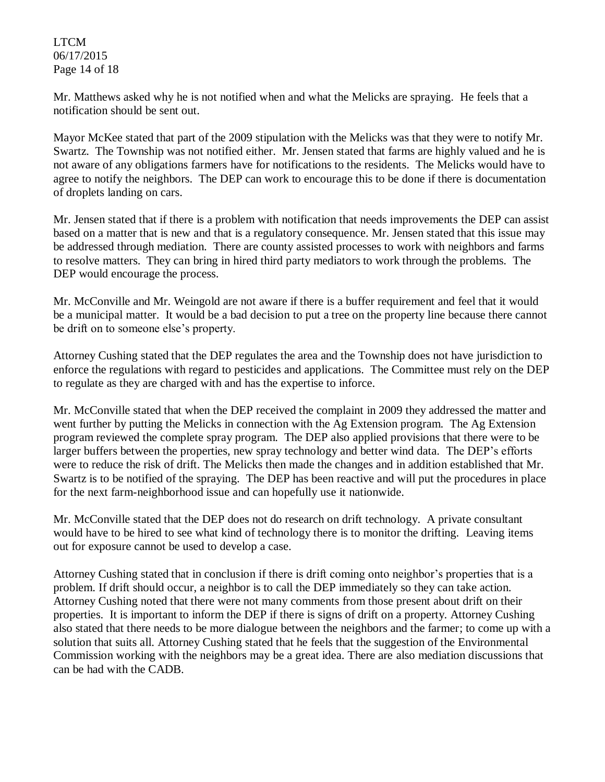## LTCM 06/17/2015 Page 14 of 18

Mr. Matthews asked why he is not notified when and what the Melicks are spraying. He feels that a notification should be sent out.

Mayor McKee stated that part of the 2009 stipulation with the Melicks was that they were to notify Mr. Swartz. The Township was not notified either. Mr. Jensen stated that farms are highly valued and he is not aware of any obligations farmers have for notifications to the residents. The Melicks would have to agree to notify the neighbors. The DEP can work to encourage this to be done if there is documentation of droplets landing on cars.

Mr. Jensen stated that if there is a problem with notification that needs improvements the DEP can assist based on a matter that is new and that is a regulatory consequence. Mr. Jensen stated that this issue may be addressed through mediation. There are county assisted processes to work with neighbors and farms to resolve matters. They can bring in hired third party mediators to work through the problems. The DEP would encourage the process.

Mr. McConville and Mr. Weingold are not aware if there is a buffer requirement and feel that it would be a municipal matter. It would be a bad decision to put a tree on the property line because there cannot be drift on to someone else's property.

Attorney Cushing stated that the DEP regulates the area and the Township does not have jurisdiction to enforce the regulations with regard to pesticides and applications. The Committee must rely on the DEP to regulate as they are charged with and has the expertise to inforce.

Mr. McConville stated that when the DEP received the complaint in 2009 they addressed the matter and went further by putting the Melicks in connection with the Ag Extension program. The Ag Extension program reviewed the complete spray program. The DEP also applied provisions that there were to be larger buffers between the properties, new spray technology and better wind data. The DEP's efforts were to reduce the risk of drift. The Melicks then made the changes and in addition established that Mr. Swartz is to be notified of the spraying. The DEP has been reactive and will put the procedures in place for the next farm-neighborhood issue and can hopefully use it nationwide.

Mr. McConville stated that the DEP does not do research on drift technology. A private consultant would have to be hired to see what kind of technology there is to monitor the drifting. Leaving items out for exposure cannot be used to develop a case.

Attorney Cushing stated that in conclusion if there is drift coming onto neighbor's properties that is a problem. If drift should occur, a neighbor is to call the DEP immediately so they can take action. Attorney Cushing noted that there were not many comments from those present about drift on their properties. It is important to inform the DEP if there is signs of drift on a property. Attorney Cushing also stated that there needs to be more dialogue between the neighbors and the farmer; to come up with a solution that suits all. Attorney Cushing stated that he feels that the suggestion of the Environmental Commission working with the neighbors may be a great idea. There are also mediation discussions that can be had with the CADB.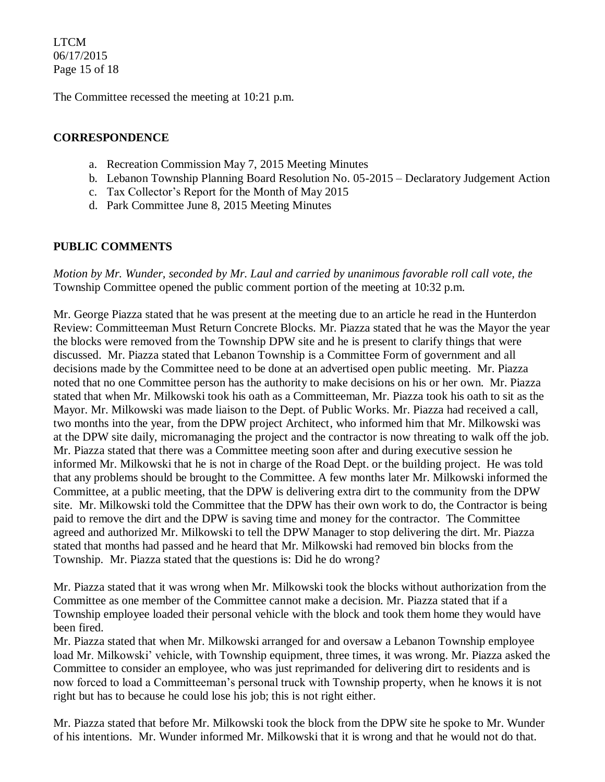LTCM 06/17/2015 Page 15 of 18

The Committee recessed the meeting at 10:21 p.m.

## **CORRESPONDENCE**

- a. Recreation Commission May 7, 2015 Meeting Minutes
- b. Lebanon Township Planning Board Resolution No. 05-2015 Declaratory Judgement Action
- c. Tax Collector's Report for the Month of May 2015
- d. Park Committee June 8, 2015 Meeting Minutes

## **PUBLIC COMMENTS**

*Motion by Mr. Wunder, seconded by Mr. Laul and carried by unanimous favorable roll call vote, the* Township Committee opened the public comment portion of the meeting at 10:32 p.m.

Mr. George Piazza stated that he was present at the meeting due to an article he read in the Hunterdon Review: Committeeman Must Return Concrete Blocks. Mr. Piazza stated that he was the Mayor the year the blocks were removed from the Township DPW site and he is present to clarify things that were discussed. Mr. Piazza stated that Lebanon Township is a Committee Form of government and all decisions made by the Committee need to be done at an advertised open public meeting. Mr. Piazza noted that no one Committee person has the authority to make decisions on his or her own. Mr. Piazza stated that when Mr. Milkowski took his oath as a Committeeman, Mr. Piazza took his oath to sit as the Mayor. Mr. Milkowski was made liaison to the Dept. of Public Works. Mr. Piazza had received a call, two months into the year, from the DPW project Architect, who informed him that Mr. Milkowski was at the DPW site daily, micromanaging the project and the contractor is now threating to walk off the job. Mr. Piazza stated that there was a Committee meeting soon after and during executive session he informed Mr. Milkowski that he is not in charge of the Road Dept. or the building project. He was told that any problems should be brought to the Committee. A few months later Mr. Milkowski informed the Committee, at a public meeting, that the DPW is delivering extra dirt to the community from the DPW site. Mr. Milkowski told the Committee that the DPW has their own work to do, the Contractor is being paid to remove the dirt and the DPW is saving time and money for the contractor. The Committee agreed and authorized Mr. Milkowski to tell the DPW Manager to stop delivering the dirt. Mr. Piazza stated that months had passed and he heard that Mr. Milkowski had removed bin blocks from the Township. Mr. Piazza stated that the questions is: Did he do wrong?

Mr. Piazza stated that it was wrong when Mr. Milkowski took the blocks without authorization from the Committee as one member of the Committee cannot make a decision. Mr. Piazza stated that if a Township employee loaded their personal vehicle with the block and took them home they would have been fired.

Mr. Piazza stated that when Mr. Milkowski arranged for and oversaw a Lebanon Township employee load Mr. Milkowski' vehicle, with Township equipment, three times, it was wrong. Mr. Piazza asked the Committee to consider an employee, who was just reprimanded for delivering dirt to residents and is now forced to load a Committeeman's personal truck with Township property, when he knows it is not right but has to because he could lose his job; this is not right either.

Mr. Piazza stated that before Mr. Milkowski took the block from the DPW site he spoke to Mr. Wunder of his intentions. Mr. Wunder informed Mr. Milkowski that it is wrong and that he would not do that.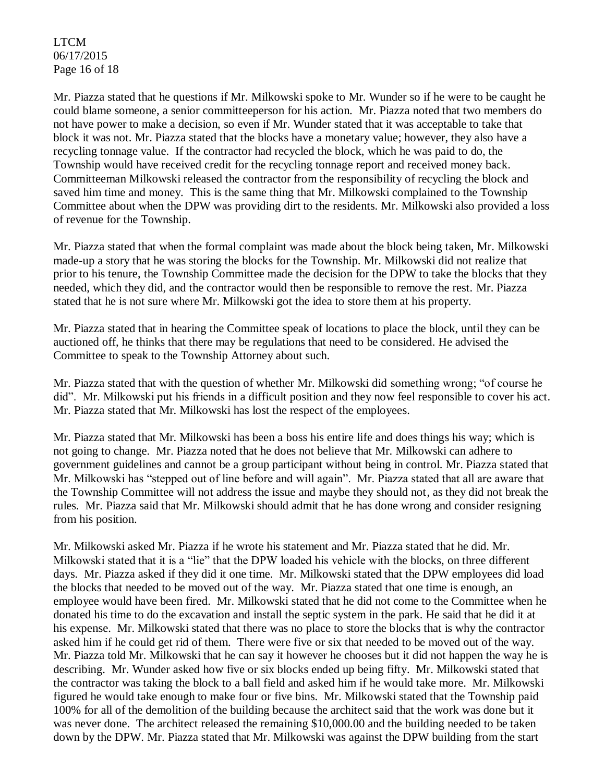LTCM 06/17/2015 Page 16 of 18

Mr. Piazza stated that he questions if Mr. Milkowski spoke to Mr. Wunder so if he were to be caught he could blame someone, a senior committeeperson for his action. Mr. Piazza noted that two members do not have power to make a decision, so even if Mr. Wunder stated that it was acceptable to take that block it was not. Mr. Piazza stated that the blocks have a monetary value; however, they also have a recycling tonnage value. If the contractor had recycled the block, which he was paid to do, the Township would have received credit for the recycling tonnage report and received money back. Committeeman Milkowski released the contractor from the responsibility of recycling the block and saved him time and money. This is the same thing that Mr. Milkowski complained to the Township Committee about when the DPW was providing dirt to the residents. Mr. Milkowski also provided a loss of revenue for the Township.

Mr. Piazza stated that when the formal complaint was made about the block being taken, Mr. Milkowski made-up a story that he was storing the blocks for the Township. Mr. Milkowski did not realize that prior to his tenure, the Township Committee made the decision for the DPW to take the blocks that they needed, which they did, and the contractor would then be responsible to remove the rest. Mr. Piazza stated that he is not sure where Mr. Milkowski got the idea to store them at his property.

Mr. Piazza stated that in hearing the Committee speak of locations to place the block, until they can be auctioned off, he thinks that there may be regulations that need to be considered. He advised the Committee to speak to the Township Attorney about such.

Mr. Piazza stated that with the question of whether Mr. Milkowski did something wrong; "of course he did". Mr. Milkowski put his friends in a difficult position and they now feel responsible to cover his act. Mr. Piazza stated that Mr. Milkowski has lost the respect of the employees.

Mr. Piazza stated that Mr. Milkowski has been a boss his entire life and does things his way; which is not going to change. Mr. Piazza noted that he does not believe that Mr. Milkowski can adhere to government guidelines and cannot be a group participant without being in control. Mr. Piazza stated that Mr. Milkowski has "stepped out of line before and will again". Mr. Piazza stated that all are aware that the Township Committee will not address the issue and maybe they should not, as they did not break the rules. Mr. Piazza said that Mr. Milkowski should admit that he has done wrong and consider resigning from his position.

Mr. Milkowski asked Mr. Piazza if he wrote his statement and Mr. Piazza stated that he did. Mr. Milkowski stated that it is a "lie" that the DPW loaded his vehicle with the blocks, on three different days. Mr. Piazza asked if they did it one time. Mr. Milkowski stated that the DPW employees did load the blocks that needed to be moved out of the way. Mr. Piazza stated that one time is enough, an employee would have been fired. Mr. Milkowski stated that he did not come to the Committee when he donated his time to do the excavation and install the septic system in the park. He said that he did it at his expense. Mr. Milkowski stated that there was no place to store the blocks that is why the contractor asked him if he could get rid of them. There were five or six that needed to be moved out of the way. Mr. Piazza told Mr. Milkowski that he can say it however he chooses but it did not happen the way he is describing. Mr. Wunder asked how five or six blocks ended up being fifty. Mr. Milkowski stated that the contractor was taking the block to a ball field and asked him if he would take more. Mr. Milkowski figured he would take enough to make four or five bins. Mr. Milkowski stated that the Township paid 100% for all of the demolition of the building because the architect said that the work was done but it was never done. The architect released the remaining \$10,000.00 and the building needed to be taken down by the DPW. Mr. Piazza stated that Mr. Milkowski was against the DPW building from the start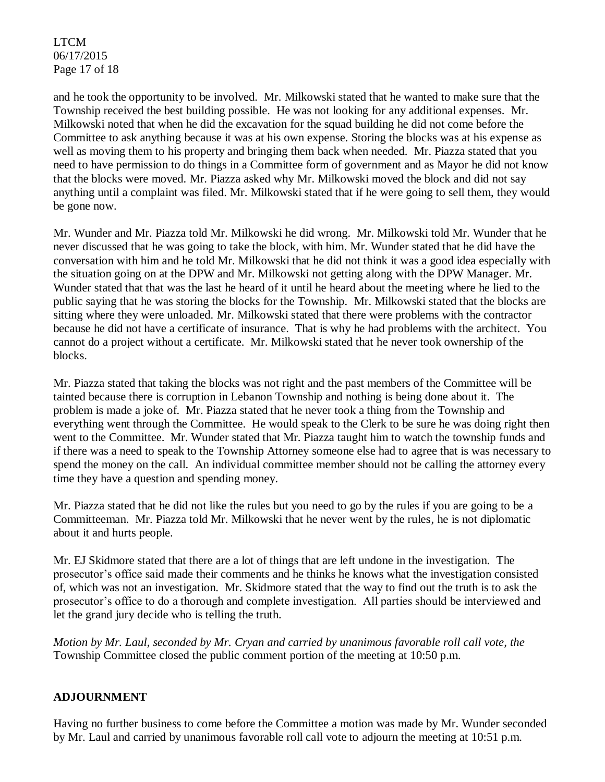LTCM 06/17/2015 Page 17 of 18

and he took the opportunity to be involved. Mr. Milkowski stated that he wanted to make sure that the Township received the best building possible. He was not looking for any additional expenses. Mr. Milkowski noted that when he did the excavation for the squad building he did not come before the Committee to ask anything because it was at his own expense. Storing the blocks was at his expense as well as moving them to his property and bringing them back when needed. Mr. Piazza stated that you need to have permission to do things in a Committee form of government and as Mayor he did not know that the blocks were moved. Mr. Piazza asked why Mr. Milkowski moved the block and did not say anything until a complaint was filed. Mr. Milkowski stated that if he were going to sell them, they would be gone now.

Mr. Wunder and Mr. Piazza told Mr. Milkowski he did wrong. Mr. Milkowski told Mr. Wunder that he never discussed that he was going to take the block, with him. Mr. Wunder stated that he did have the conversation with him and he told Mr. Milkowski that he did not think it was a good idea especially with the situation going on at the DPW and Mr. Milkowski not getting along with the DPW Manager. Mr. Wunder stated that that was the last he heard of it until he heard about the meeting where he lied to the public saying that he was storing the blocks for the Township. Mr. Milkowski stated that the blocks are sitting where they were unloaded. Mr. Milkowski stated that there were problems with the contractor because he did not have a certificate of insurance. That is why he had problems with the architect. You cannot do a project without a certificate. Mr. Milkowski stated that he never took ownership of the blocks.

Mr. Piazza stated that taking the blocks was not right and the past members of the Committee will be tainted because there is corruption in Lebanon Township and nothing is being done about it. The problem is made a joke of. Mr. Piazza stated that he never took a thing from the Township and everything went through the Committee. He would speak to the Clerk to be sure he was doing right then went to the Committee. Mr. Wunder stated that Mr. Piazza taught him to watch the township funds and if there was a need to speak to the Township Attorney someone else had to agree that is was necessary to spend the money on the call. An individual committee member should not be calling the attorney every time they have a question and spending money.

Mr. Piazza stated that he did not like the rules but you need to go by the rules if you are going to be a Committeeman. Mr. Piazza told Mr. Milkowski that he never went by the rules, he is not diplomatic about it and hurts people.

Mr. EJ Skidmore stated that there are a lot of things that are left undone in the investigation. The prosecutor's office said made their comments and he thinks he knows what the investigation consisted of, which was not an investigation. Mr. Skidmore stated that the way to find out the truth is to ask the prosecutor's office to do a thorough and complete investigation. All parties should be interviewed and let the grand jury decide who is telling the truth.

*Motion by Mr. Laul, seconded by Mr. Cryan and carried by unanimous favorable roll call vote, the* Township Committee closed the public comment portion of the meeting at 10:50 p.m.

## **ADJOURNMENT**

Having no further business to come before the Committee a motion was made by Mr. Wunder seconded by Mr. Laul and carried by unanimous favorable roll call vote to adjourn the meeting at 10:51 p.m.